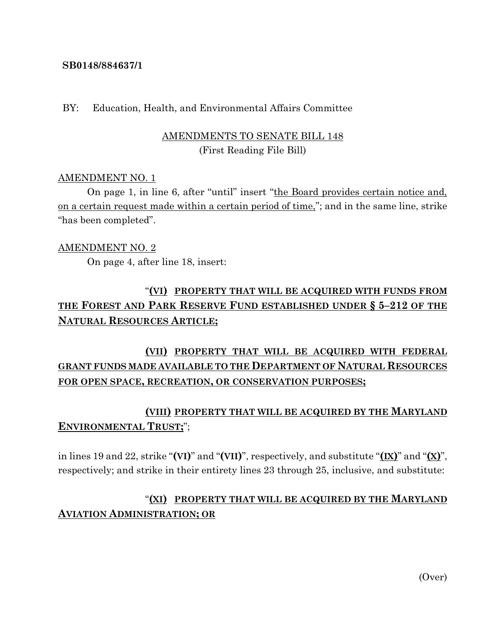#### **SB0148/884637/1**

#### BY: Education, Health, and Environmental Affairs Committee

### AMENDMENTS TO SENATE BILL 148 (First Reading File Bill)

#### AMENDMENT NO. 1

On page 1, in line 6, after "until" insert "the Board provides certain notice and, on a certain request made within a certain period of time,"; and in the same line, strike "has been completed".

#### AMENDMENT NO. 2

On page 4, after line 18, insert:

# "**(VI) PROPERTY THAT WILL BE ACQUIRED WITH FUNDS FROM THE FOREST AND PARK RESERVE FUND ESTABLISHED UNDER § 5–212 OF THE NATURAL RESOURCES ARTICLE;**

## **(VII) PROPERTY THAT WILL BE ACQUIRED WITH FEDERAL GRANT FUNDS MADE AVAILABLE TO THE DEPARTMENT OF NATURAL RESOURCES FOR OPEN SPACE, RECREATION, OR CONSERVATION PURPOSES;**

### **(VIII) PROPERTY THAT WILL BE ACQUIRED BY THE MARYLAND ENVIRONMENTAL TRUST;**";

in lines 19 and 22, strike "**(VI)**" and "**(VII)**", respectively, and substitute " $(\mathbf{I}\mathbf{X})$ " and " $(\mathbf{X})$ ", respectively; and strike in their entirety lines 23 through 25, inclusive, and substitute:

## "**(XI) PROPERTY THAT WILL BE ACQUIRED BY THE MARYLAND AVIATION ADMINISTRATION; OR**